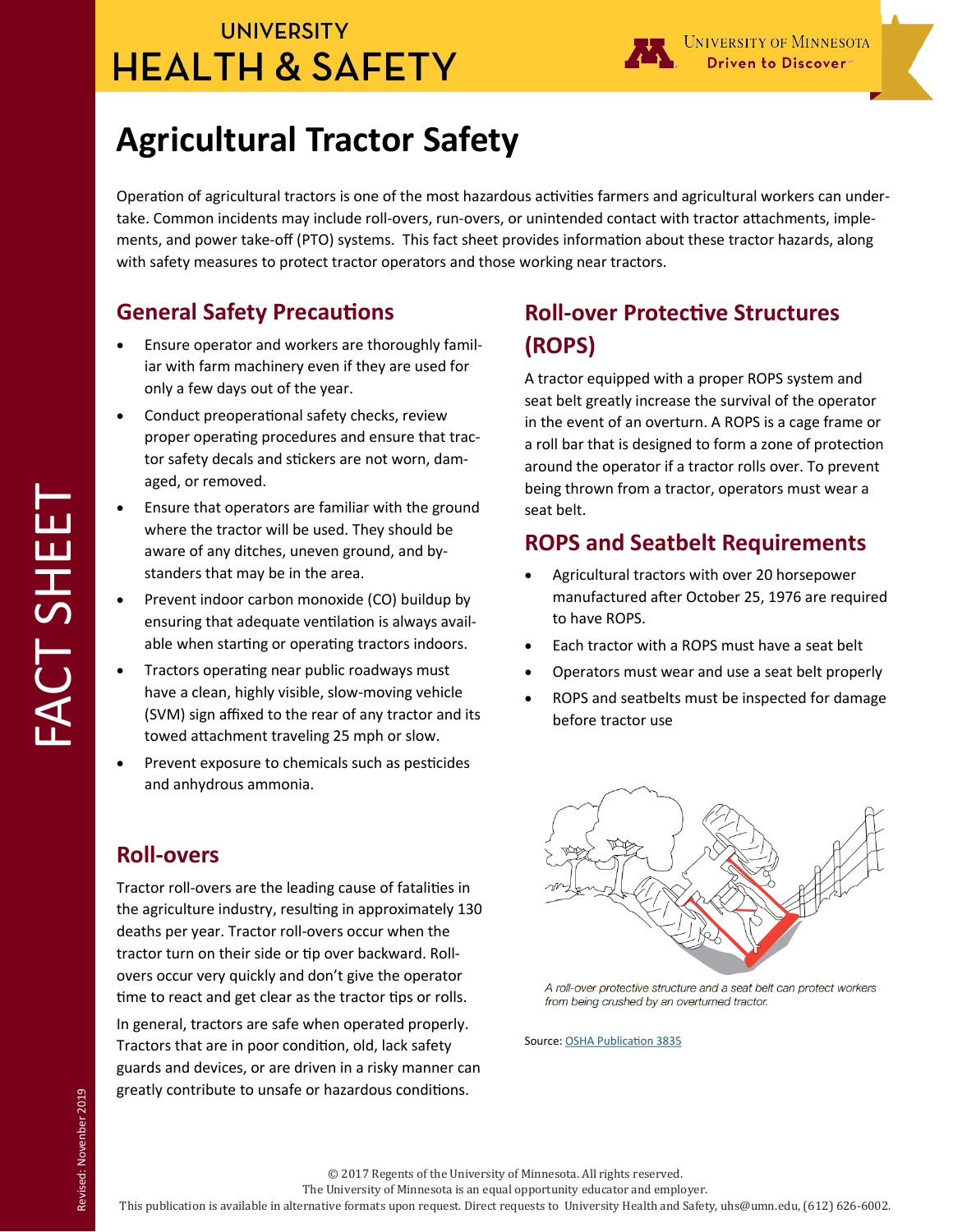## **UNIVERSITY HEALTH & SAFETY**



# **Agricultural Tractor Safety**

Operation of agricultural tractors is one of the most hazardous activities farmers and agricultural workers can undertake. Common incidents may include roll-overs, run-overs, or unintended contact with tractor attachments, implements, and power take-off (PTO) systems. This fact sheet provides information about these tractor hazards, along with safety measures to protect tractor operators and those working near tractors.

### **General Safety Precautions**

- Ensure operator and workers are thoroughly familiar with farm machinery even if they are used for only a few days out of the year.
- Conduct preoperational safety checks, review proper operating procedures and ensure that tractor safety decals and stickers are not worn, damaged, or removed.
- Ensure that operators are familiar with the ground where the tractor will be used. They should be aware of any ditches, uneven ground, and bystanders that may be in the area.
- Prevent indoor carbon monoxide (CO) buildup by ensuring that adequate ventilation is always available when starting or operating tractors indoors.
- Tractors operating near public roadways must have a clean, highly visible, slow-moving vehicle (SVM) sign affixed to the rear of any tractor and its towed attachment traveling 25 mph or slow.
- Prevent exposure to chemicals such as pesticides and anhydrous ammonia.

#### **Roll-overs**

Tractor roll-overs are the leading cause of fatalities in the agriculture industry, resulting in approximately 130 deaths per year. Tractor roll-overs occur when the tractor turn on their side or tip over backward. Rollovers occur very quickly and don't give the operator time to react and get clear as the tractor tips or rolls.

In general, tractors are safe when operated properly. Tractors that are in poor condition, old, lack safety guards and devices, or are driven in a risky manner can greatly contribute to unsafe or hazardous conditions.

### **Roll-over Protective Structures (ROPS)**

A tractor equipped with a proper ROPS system and seat belt greatly increase the survival of the operator in the event of an overturn. A ROPS is a cage frame or a roll bar that is designed to form a zone of protection around the operator if a tractor rolls over. To prevent being thrown from a tractor, operators must wear a seat belt.

### **ROPS and Seatbelt Requirements**

- Agricultural tractors with over 20 horsepower manufactured after October 25, 1976 are required to have ROPS.
- Each tractor with a ROPS must have a seat belt
- Operators must wear and use a seat belt properly
- ROPS and seatbelts must be inspected for damage before tractor use



A roll-over protective structure and a seat belt can protect workers from being crushed by an overturned tractor.

Source: [OSHA Publication 3835](https://www.osha.gov/Publications/OSHA3835.pdf)

© 2017 Regents of the University of Minnesota. All rights reserved.

The University of Minnesota is an equal opportunity educator and employer.

This publication is available in alternative formats upon request. Direct requests to University Health and Safety, uhs@umn.edu, (612) 626-6002.